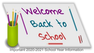

Important 2020-2021 School Year Information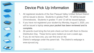# Device Pick Up Information



- 1. All registered students of the San Pasqual Valley Unified School District will be issued a device. Students in grades PreK - 10 will be issued Chromebooks. Students in grades 11 and 12 will be issued laptops.
- 2. If you have not registered your student by Monday, August 3, 2020, you will be issued a laptop **once your packet has been reviewed and is complete.**
- 3. All parents must bring the hot pink check out form with them to Device Distribution Day. These forms were mailed out over a week ago.
- 4. If you do not have one, you can find one on the District's webpage under the parent tab. The District's webpage is www.spvusd.org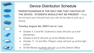

# Device Distribution Schedule

**PARENT/GUARDIAN IS THE ONLY ONE THAT CAN PICK UP THE DEVICE. STUDENTS SHOULD NOT BE PRESENT** - If you do not have your hot pink form you will not be able to pick up a device.

#### **Tuesday, August 4th, 2020 9 am to 1 pm**

- Grades 4, 5 and Mr. Gutierrez's class will pick up at the elementary
- Grades 6 and 8 will pick up at the Middle School
- Grades 11, 12 and Mrs. Pliego's class will pick up at the high school
- All Bill Manes students will pick up at the District Office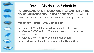

# Device Distribution Schedule

**PARENT/GUARDIAN IS THE ONLY ONE THAT CAN PICK UP THE DEVICE. STUDENTS SHOULD NOT BE PRESENT** - If you do not have your hot pink form you will not be able to pick up a device.

### **Wednesday, August 5, 2020 9 am to 1 pm**

- Grades 1, 2, and 3 class will pick up at the elementary
- Grades 7, CDS and Ms. Miranda's class will pick up at the Middle School
- Grades 9 and 10 will pick up at the high school
- All Bill Manes students will pick up at the District Office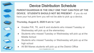

# Device Distribution Schedule

**PARENT/GUARDIAN IS THE ONLY ONE THAT CAN PICK UP THE DEVICE. STUDENTS SHOULD NOT BE PRESENT** - If you do not have your hot pink form you will not be able to pick up a device.

#### **Thursday, August 6, 2020 9 am to 1 pm**

- Grades PrK, TK, and K and students who missed Tuesday or Wednesday will pick up at the elementary
- Students who missed Tuesday or Wednesday will pick up at the Middle School
- Students who missed Tuesday or Wednesday will pick up at the high school
- All Bill Manes students will pick up at the District Office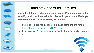

### Internet Access for Families

**Internet will be provided on a needs basis. Please complete this form if you do not have reliable internet in your home. We hope to have the internet available by September 1.**

- If you have not already done so, please complete the form at [https://forms.gle/fTozYff2UVDgYw16A](https://l.facebook.com/l.php?u=https%3A%2F%2Fforms.gle%2FfTozYff2UVDgYw16A%3Ffbclid%3DIwAR2SfJ7bOBzsqnO9_JMTak2GZNV1hKAT0zSd6WhhDqUhrdNsPVrCcWfdfZQ&h=AT2jQMrB3ifkP84kiF08bFYGNPAv1egbQ4eSVOQ3T1xeCbDv5efUVF0Womr6VETNIDzpkSvKYj4g3lv4YGkNp3wILo41gC3M8sW0IVoeT4I63izqScN0ZsWanMxtjYOUGElrXfllLMifLbcJjz7CmxOXM_fVCofzLgFWwGYpfgWpck7XQ-ZdjafoqTM7qBbBvS_p2BbWJNzYH8rnvta6wLxCDtYyPRgn8Kc5gHvxMT2jpmPMuqDd3z0xpkTnZIKo2T7kizzFGLQmSuuxL_AxQlC2cl80iDsDX8ajuMMsp__Jjf-DC4MsBMPKV6NQZc1grWFuEYDP4gOHoA3L7JFAQmLBsso1jKCSPVfF5idbO-Hp7UeWv3KQPkJoep27HOgHvQ_Czs_qqlAf3ahTDm7YdF4nCaPg3GHdlEjSOXdV6SuF3Y2_SsXhV_Xp8wR0fORWSzGWdQ5zzUDHn1-5jTx9nCVbQmOucGCU08KO96pJKUn6mF2lvziDftgDjsow4Ygw0PxhYzJ-km1fPJqp925gQFvs_T76raCurDOyKTVux3KOayKYyWHQGJx4WpkLj-tFgwAI9GOPobjwWyCLPtM5qiF02SolEXWD9gGwaL6CqaWugsHIzt1eGml9mwxsCdFFnWNO4g)
- It is the green form that was included in the letter mailed home to families.

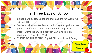### First Three Days of School

 $\blacksquare$ 

- Students will be issued paper/pencil packets for August 12, 13, and 14th.
- Students will earn attendance credit when they pick up their packets on August 12 and return them on August 17.
- Packet Distribution will be between 9am and 1pm on Wednesday, August 12, 2020.
	- **● THEME OF THE WORK: Digital Citizenship and Safety**

**Student** 

Work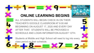# **ONLINE LEARNING BEGINS**

**BEGII** 

ALL STUDENTS WILL BEGIN CHECK IN ON THEIR TEACHER'S GOOGLE CLASSROOM AT 9:00 AM BEGINNING ON AUGUST 17, 2020 AND EVERY DAY AFTER THAT. STUDENTS WILL BE PROVIDED A SCHEDULE AND LOGIN INFORMATION AUGUST 12TH.

Students at Middle and High School will need to log into every class period on their schedule.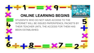# **ONLINE LEARNING BEGINS**

**BEGINS** 

STUDENTS WHO DO NOT HAVE ACCESS TO THE INTERNET WILL BE ISSUED PAPER/PENCIL PACKETS BY THEIR TEACHER UNTIL THE ACCESS FOR THEM HAS BEEN ESTABLISHED.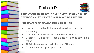

# Textbook Distribution



### **PARENT/GUARDIAN IS THE ONLY ONE THAT CAN PICK UP TEXTBOOKS. STUDENTS SHOULD NOT BE PRESENT**

### **Tuesday, August 18th, 2020 from 9 am to 1 pm**

- Grades 4, 5 and Mr. Gutierrez's class will pick up at the elementary
- Grades 6 and 8 will pick up at the Middle School
- Grades 11, 12 and Mrs. Pliego's class will pick up at the high school
- All Bill Manes students will pick up at Bill Manes
- CDS Students will pick up at CDS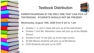

# Textbook Distribution



### **PARENT/GUARDIAN IS THE ONLY ONE THAT CAN PICK UP TEXTBOOKS. STUDENTS SHOULD NOT BE PRESENT**

### **Wednesday, August 19th, 2020 from 9 am to 1 pm**

- Grades 1, 2, and 3 class will pick up at the elementary
- Grades 7 and Ms. Miranda's class will pick up at the Middle **School**
- Grades 9 and 10 will pick up at the high school
- All Bill Manes students will pick up at Bill Manes
- CDS Students will pick up at CDS